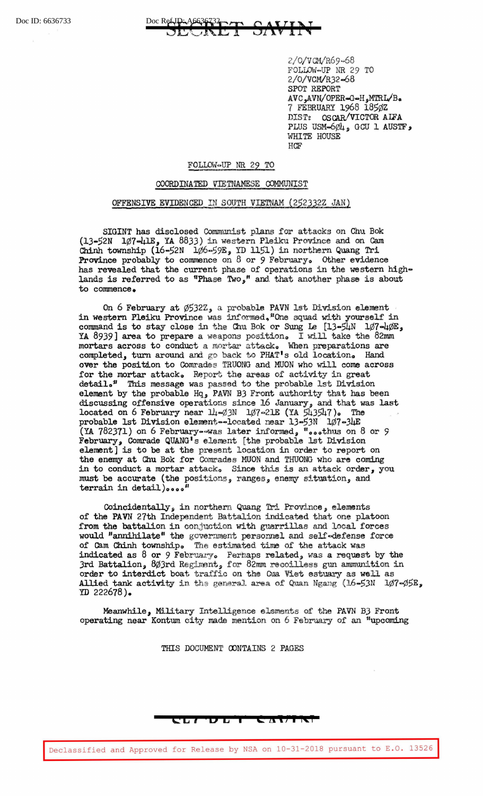## Doc ID: 6636733 Doc Ref ID: 46636732 SUNDA I  $\overline{M}$

2/0/VCM/R69~68 FOLLOW~UP NR 29 TO 2/0/ VCM/R32-68 SPOT REPORT  $AVC_{\bullet}AVN/OPER = G = H_{\bullet}MTRL/B_{\bullet}$ 7 FEBRUARY 1968 185¢Z DIST: OSCAR/VICTOR AIFA PLUS USM- $6\phi$ 4, GCU 1 AUSTF, WHITE HOUSE HCF

## FOLLOW~UP NR 29 TO

## COORDINATED VIETNAMESE COMMUNIST

## OFFENSIVE EVIDENCED IN SOUTH VIETNAM (252332Z JAN)

SIGINT has disclosed Communist plans for attacks on Chu Bok  $(13-52N)$  1 $\emptyset$ 7-41 $E$ , YA 8833) in western Pleiku Province and on Cam Chinh township ( $16-52N$   $106-59E$ , YD 1151) in northern Quang Tri Province probably to commence on 8 or 9 February. Other evidence has revealed that the current phase of operations in the western highlands is referred to as "Phase Two," and that another phase is about to commence.

On 6 February at  $\emptyset$ 532Z, a probable PAVN 1st Division element in western Pleiku Province was informed, "One squad with yourself in command is to stay close in the Chu Bok or Sung Le  $[13-5]$ 4N  $1/7-4/0E$ , YA 8939] area to prepare a weapons position. I will take the 82mm mortars across to conduct a mortar attack. When preparations are completed, turn around and go back to PHAT 1s old locationo Hand over the position to Comrades TRUONG and MUON who will come across for the mortar attack. Report the areas of activity in great detail.<sup>#</sup> This message was passed to the probable 1st Division element by the probable Hq, PAVN BJ Front authority that has been discussing offensive operations since 16 January, and that was last located on 6 February near  $14-63N$   $167-21E$  (YA  $543547$ ). The probable 1st Division element--located near 13-53N 107-34E (YA 782371) on 6 February -- was later informed, "...thus on 8 or 9 February, Comrade QUANG 1 s element (the probable 1st Division element] is to be at the present location in order to report on the enemy at Chu Bok for Comrades MUON and TRUONG who are coming in to conduct a mortar attack. Since this is an attack order, you must be accurate (the positions, ranges, enemy situation, and **terrain** in **detail)oooo <sup>11</sup>**

Coincidentally, in northern Quang Tri Province, elements of the PAVN 27th Independent Battalion indicated that one platoon from the battalion in conjuction with guerrillas and local forces would "annihilate" the government personnel and self-defense force of Cam Chinh townshipo The estimated time of the attack was indicated as  $8$  or  $9$  February. Perhaps related, was a request by the Jrd Battalion, 803rd Regiment, for 82mm recoilless gun ammunition in order to interdict boat traffic on the Cua Viet estuary as well as Allied tank activity in the general area of Quan Ngang (16-53N 107- $\phi$ 5E, YD 222678).

Meanwhile, Military Intelligence elements of the PAVN B3 Front operating near Kontum. city made mention on 6 February of an "upcoming

THIS DOCUMENT OONTAINS 2 PAGES

**C: L I D L I C a I; I** I< I

Declassified and Approved for Release by NSA on 10-31-2018 pursuant to E.O. 13526